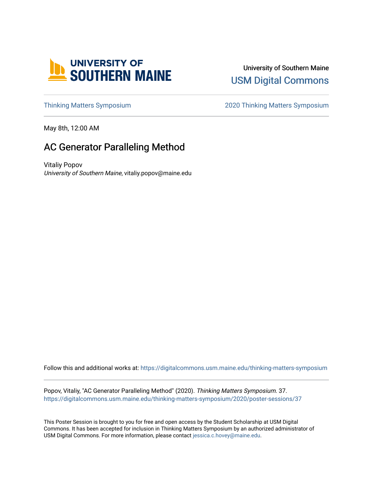

University of Southern Maine [USM Digital Commons](https://digitalcommons.usm.maine.edu/) 

[Thinking Matters Symposium](https://digitalcommons.usm.maine.edu/thinking-matters-symposium) [2020 Thinking Matters Symposium](https://digitalcommons.usm.maine.edu/thinking-matters-symposium/2020) 

May 8th, 12:00 AM

#### AC Generator Paralleling Method

Vitaliy Popov University of Southern Maine, vitaliy.popov@maine.edu

Follow this and additional works at: [https://digitalcommons.usm.maine.edu/thinking-matters-symposium](https://digitalcommons.usm.maine.edu/thinking-matters-symposium?utm_source=digitalcommons.usm.maine.edu%2Fthinking-matters-symposium%2F2020%2Fposter-sessions%2F37&utm_medium=PDF&utm_campaign=PDFCoverPages) 

Popov, Vitaliy, "AC Generator Paralleling Method" (2020). Thinking Matters Symposium. 37. [https://digitalcommons.usm.maine.edu/thinking-matters-symposium/2020/poster-sessions/37](https://digitalcommons.usm.maine.edu/thinking-matters-symposium/2020/poster-sessions/37?utm_source=digitalcommons.usm.maine.edu%2Fthinking-matters-symposium%2F2020%2Fposter-sessions%2F37&utm_medium=PDF&utm_campaign=PDFCoverPages) 

This Poster Session is brought to you for free and open access by the Student Scholarship at USM Digital Commons. It has been accepted for inclusion in Thinking Matters Symposium by an authorized administrator of USM Digital Commons. For more information, please contact [jessica.c.hovey@maine.edu](mailto:ian.fowler@maine.edu).